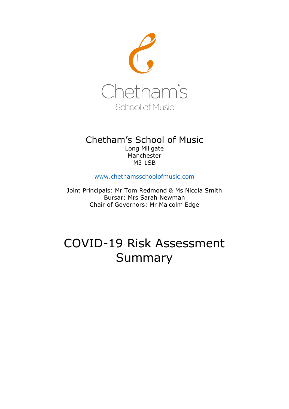

## Chetham's School of Music Long Millgate

Manchester M3 1SB

www.chethamsschoolofmusic.com

Joint Principals: Mr Tom Redmond & Ms Nicola Smith Bursar: Mrs Sarah Newman Chair of Governors: Mr Malcolm Edge

# COVID-19 Risk Assessment Summary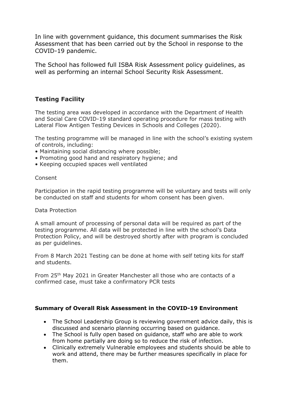In line with government guidance, this document summarises the Risk Assessment that has been carried out by the School in response to the COVID-19 pandemic.

The School has followed full ISBA Risk Assessment policy guidelines, as well as performing an internal School Security Risk Assessment.

### **Testing Facility**

The testing area was developed in accordance with the Department of Health and Social Care COVID-19 standard operating procedure for mass testing with Lateral Flow Antigen Testing Devices in Schools and Colleges (2020).

The testing programme will be managed in line with the school's existing system of controls, including:

- Maintaining social distancing where possible;
- Promoting good hand and respiratory hygiene; and
- Keeping occupied spaces well ventilated

Consent

Participation in the rapid testing programme will be voluntary and tests will only be conducted on staff and students for whom consent has been given.

#### Data Protection

A small amount of processing of personal data will be required as part of the testing programme. All data will be protected in line with the school's Data Protection Policy, and will be destroyed shortly after with program is concluded as per guidelines.

From 8 March 2021 Testing can be done at home with self teting kits for staff and students.

From 25th May 2021 in Greater Manchester all those who are contacts of a confirmed case, must take a confirmatory PCR tests

#### **Summary of Overall Risk Assessment in the COVID-19 Environment**

- The School Leadership Group is reviewing government advice daily, this is discussed and scenario planning occurring based on guidance.
- The School is fully open based on guidance, staff who are able to work from home partially are doing so to reduce the risk of infection.
- Clinically extremely Vulnerable employees and students should be able to work and attend, there may be further measures specifically in place for them.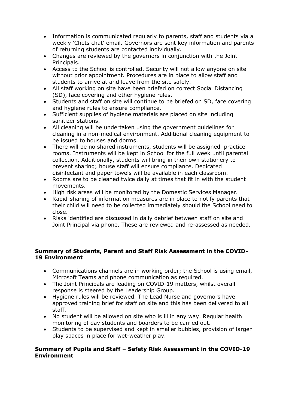- Information is communicated regularly to parents, staff and students via a weekly 'Chets chat' email. Governors are sent key information and parents of returning students are contacted individually.
- Changes are reviewed by the governors in conjunction with the Joint Principals.
- Access to the School is controlled. Security will not allow anyone on site without prior appointment. Procedures are in place to allow staff and students to arrive at and leave from the site safely.
- All staff working on site have been briefed on correct Social Distancing (SD), face covering and other hygiene rules.
- Students and staff on site will continue to be briefed on SD, face covering and hygiene rules to ensure compliance.
- Sufficient supplies of hygiene materials are placed on site including sanitizer stations.
- All cleaning will be undertaken using the government guidelines for cleaning in a non-medical environment. Additional cleaning equipment to be issued to houses and dorms.
- There will be no shared instruments, students will be assigned practice rooms. Instruments will be kept in School for the full week until parental collection. Additionally, students will bring in their own stationery to prevent sharing; house staff will ensure compliance. Dedicated disinfectant and paper towels will be available in each classroom.
- Rooms are to be cleaned twice daily at times that fit in with the student movements.
- High risk areas will be monitored by the Domestic Services Manager.
- Rapid-sharing of information measures are in place to notify parents that their child will need to be collected immediately should the School need to close.
- Risks identified are discussed in daily debrief between staff on site and Joint Principal via phone. These are reviewed and re-assessed as needed.

#### **Summary of Students, Parent and Staff Risk Assessment in the COVID-19 Environment**

- Communications channels are in working order; the School is using email, Microsoft Teams and phone communication as required.
- The Joint Principals are leading on COVID-19 matters, whilst overall response is steered by the Leadership Group.
- Hygiene rules will be reviewed. The Lead Nurse and governors have approved training brief for staff on site and this has been delivered to all staff.
- No student will be allowed on site who is ill in any way. Regular health monitoring of day students and boarders to be carried out.
- Students to be supervised and kept in smaller bubbles, provision of larger play spaces in place for wet-weather play.

#### **Summary of Pupils and Staff – Safety Risk Assessment in the COVID-19 Environment**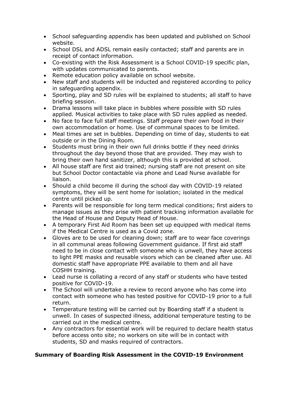- School safeguarding appendix has been updated and published on School website.
- School DSL and ADSL remain easily contacted; staff and parents are in receipt of contact information.
- Co-existing with the Risk Assessment is a School COVID-19 specific plan, with updates communicated to parents.
- Remote education policy available on school website.
- New staff and students will be inducted and registered according to policy in safeguarding appendix.
- Sporting, play and SD rules will be explained to students; all staff to have briefing session.
- Drama lessons will take place in bubbles where possible with SD rules applied. Musical activities to take place with SD rules applied as needed.
- No face to face full staff meetings. Staff prepare their own food in their own accommodation or home. Use of communal spaces to be limited.
- Meal times are set in bubbles. Depending on time of day, students to eat outside or in the Dining Room.
- Students must bring in their own full drinks bottle if they need drinks throughout the day beyond those that are provided. They may wish to bring their own hand sanitizer, although this is provided at school.
- All house staff are first aid trained; nursing staff are not present on site but School Doctor contactable via phone and Lead Nurse available for liaison.
- Should a child become ill during the school day with COVID-19 related symptoms, they will be sent home for isolation; isolated in the medical centre until picked up.
- Parents will be responsible for long term medical conditions; first aiders to manage issues as they arise with patient tracking information available for the Head of House and Deputy Head of House.
- A temporary First Aid Room has been set up equipped with medical items if the Medical Centre is used as a Covid zone.
- Gloves are to be used for cleaning down; staff are to wear face coverings in all communal areas following Government guidance. If first aid staff need to be in close contact with someone who is unwell, they have access to light PPE masks and reusable visors which can be cleaned after use. All domestic staff have appropriate PPE available to them and all have COSHH training.
- Lead nurse is collating a record of any staff or students who have tested positive for COVID-19.
- The School will undertake a review to record anyone who has come into contact with someone who has tested positive for COVID-19 prior to a full return.
- Temperature testing will be carried out by Boarding staff if a student is unwell. In cases of suspected illness, additional temperature testing to be carried out in the medical centre.
- Any contractors for essential work will be required to declare health status before access onto site; no workers on site will be in contact with students, SD and masks required of contractors.

#### **Summary of Boarding Risk Assessment in the COVID-19 Environment**